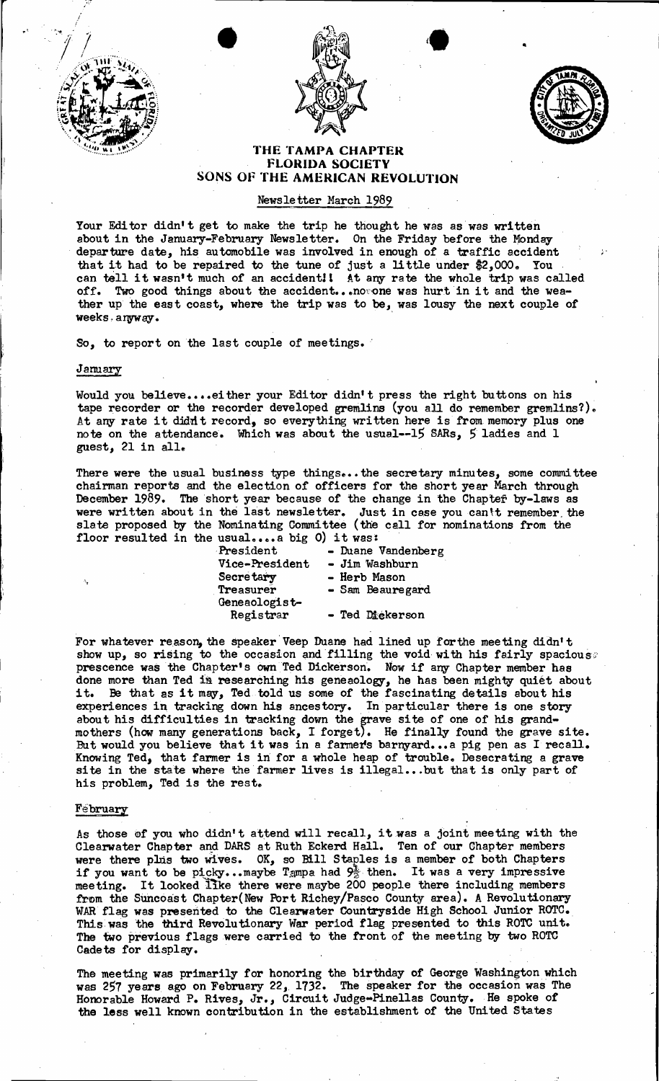





•

## THE TAMPA CHAPTER FLORIDA SOCIETV SONS OF THE AMERICAN REVOLUTION

# Newsletter March 1989

Your Editor didn't get to make the trip he thought he was as was written about in the January-February Newsletter. On the Friday before the Monday . departure date, his automobile was involved in enough of a traffic accident that it had to be repaired to the tune of just a little under \$2,000. You can tell it wasn't much of an accident! At any rate the whole trip was called can tell it wasn't much of an accident! At any rate the whole trip was called off. Two good things about the accident... now one was hurt in it and the weather up the east coast, where the trip was to be, was lousy the next couple of weeks, anyway.

So, to report on the last couple of meetings.

•

#### January

Would you believe....either your Editor didn't press the right buttons on his tape recorder or the recorder developed gremlins (you all do remember gremlins?). At any rate it didn't record, so everything written here is from memory plus one note on the attendance. Which was about the usual--15 SARs, 5 ladies and 1 guest, 21 in all.

There were the usual business type things... the secretary minutes, some committee chairman reports and the election of officers for the short year March through December 1989. The short year because of the change in the Chapter by-laws as were written about in the last newsletter. Just in case you can't remember the slate proposed by the Nominating Committee (the call for nominations from the floor resulted in the usual.... a big 0) it was:<br>President - Duane

President - Duane Vandenberg<br>Vice-President - Jim Washburn Vice-President - Jim Washburn<br>Secretary - Herb Mason Secretary - Herb Mason<br>Treasurer - Sam Beaure - Sam Beauregard Geneaologist-<br>Registrar - Ted Dickerson

For whatever reason, the speaker Veep Duane had lined up for the meeting didn't show up, so rising to the occasion and filling the void with his fairly spacious; prescence was the Chapter's own Ted Dickerson. Now if any Chapter member has done more than Ted is researching his geneaology, he has been mighty quiet about done more than red in researching his geneating, he has been mighty quiet about his it. Be that as it may, Ted told us some of the fascinating details about his experiences in tracking down his ancestory. In particular there is one story about his difficulties in tracking down the grave site of one of his grandmothers (how many generations back, I forget). He finally found the grave site. But would you believe that it was in a farmer's barnyard... a pig pen as I recall. Knowing Ted, that farmer is in for a whole heap of trouble. Desecrating a grave site in the state where the farmer lives is illegal...but that is only part of his problem, Ted is the rest.

#### February

As those of you who didn't attend will recall, it was a joint meeting with the Clearwater Chapter and DARS at Ruth Eckerd Hall. Ten of our Chapter members were there plus two wives. OK, so Bill Staples is a member of both Chapters<br>if you want to be picky...maybe Tampa had  $9\frac{1}{2}$  then. It was a very impressive<br>meeting. It looked like there were maybe 200 people there inc from the Suncoast Chapter(New Port Richey/Pasco County area). A Revolutionary WAR flag was presented to the Clearwater Countryside High School Junior ROTC. This was the third Revolutionary War period flag presented to this ROTC unit. The two previous flags were carried to the front of the meeting by two ROTC Cadets for display. .

The meeting was primarily for honoring the birthday of George Washington which was 257 years ago on February 22, 1732. The speaker for the occasion was The Honorable Howard P. Rives, Jr., Circuit Judge-Pinellas County. He spoke of the less well known contribution in the establishment of the United States